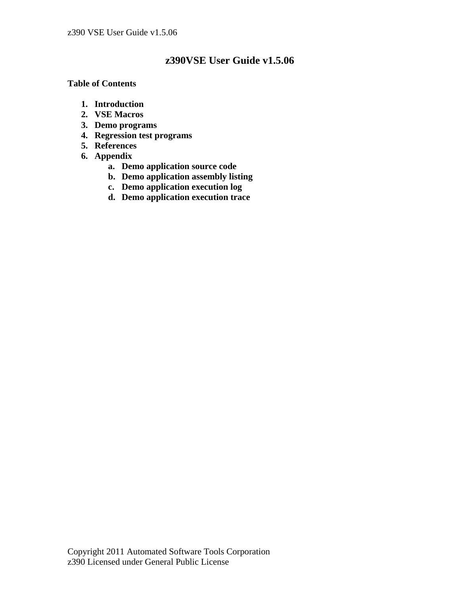# **z390VSE User Guide v1.5.06**

## **Table of Contents**

- **1. Introduction**
- **2. VSE Macros**
- **3. Demo programs**
- **4. Regression test programs**
- **5. References**
- **6. Appendix** 
	- **a. Demo application source code**
	- **b. Demo application assembly listing**
	- **c. Demo application execution log**
	- **d. Demo application execution trace**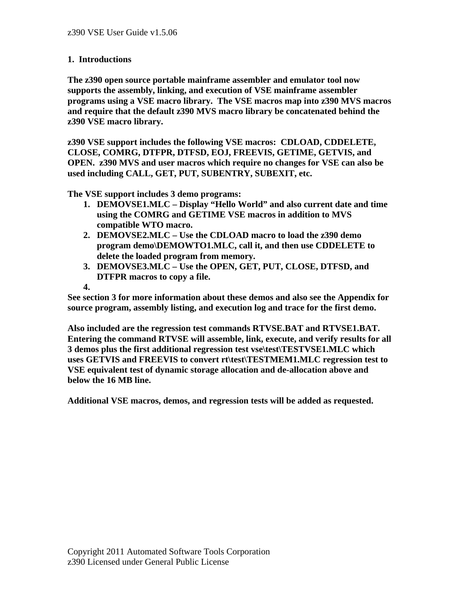## **1. Introductions**

**The z390 open source portable mainframe assembler and emulator tool now supports the assembly, linking, and execution of VSE mainframe assembler programs using a VSE macro library. The VSE macros map into z390 MVS macros and require that the default z390 MVS macro library be concatenated behind the z390 VSE macro library.** 

**z390 VSE support includes the following VSE macros: CDLOAD, CDDELETE, CLOSE, COMRG, DTFPR, DTFSD, EOJ, FREEVIS, GETIME, GETVIS, and OPEN. z390 MVS and user macros which require no changes for VSE can also be used including CALL, GET, PUT, SUBENTRY, SUBEXIT, etc.** 

**The VSE support includes 3 demo programs:** 

- **1. DEMOVSE1.MLC Display "Hello World" and also current date and time using the COMRG and GETIME VSE macros in addition to MVS compatible WTO macro.**
- **2. DEMOVSE2.MLC Use the CDLOAD macro to load the z390 demo program demo\DEMOWTO1.MLC, call it, and then use CDDELETE to delete the loaded program from memory.**
- **3. DEMOVSE3.MLC Use the OPEN, GET, PUT, CLOSE, DTFSD, and DTFPR macros to copy a file.**
- **4.**

**See section 3 for more information about these demos and also see the Appendix for source program, assembly listing, and execution log and trace for the first demo.** 

**Also included are the regression test commands RTVSE.BAT and RTVSE1.BAT. Entering the command RTVSE will assemble, link, execute, and verify results for all 3 demos plus the first additional regression test vse\test\TESTVSE1.MLC which uses GETVIS and FREEVIS to convert rt\test\TESTMEM1.MLC regression test to VSE equivalent test of dynamic storage allocation and de-allocation above and below the 16 MB line.** 

**Additional VSE macros, demos, and regression tests will be added as requested.**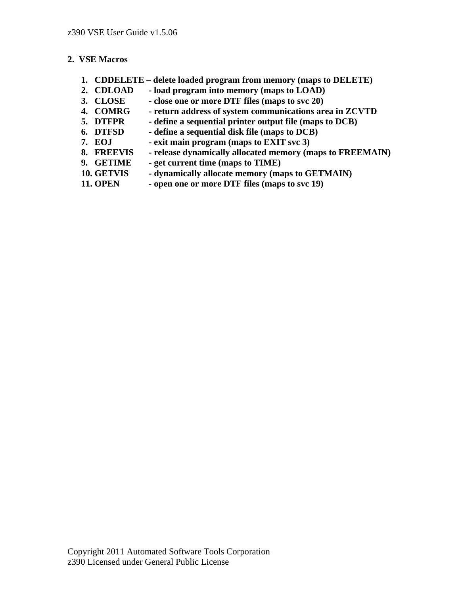## **2. VSE Macros**

- **1. CDDELETE delete loaded program from memory (maps to DELETE)**
- **2. CDLOAD load program into memory (maps to LOAD)**
- **3. CLOSE close one or more DTF files (maps to svc 20)**
- **4. COMRG return address of system communications area in ZCVTD**
- **5. DTFPR define a sequential printer output file (maps to DCB)**
- **6. DTFSD define a sequential disk file (maps to DCB)**
- **7. EOJ exit main program (maps to EXIT svc 3)**
- **8. FREEVIS release dynamically allocated memory (maps to FREEMAIN)**
- **9. GETIME get current time (maps to TIME)**
- **10. GETVIS dynamically allocate memory (maps to GETMAIN)**
- **11. OPEN open one or more DTF files (maps to svc 19)**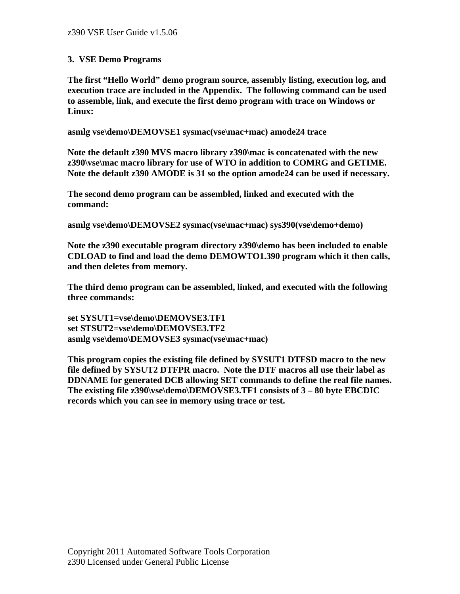## **3. VSE Demo Programs**

**The first "Hello World" demo program source, assembly listing, execution log, and execution trace are included in the Appendix. The following command can be used to assemble, link, and execute the first demo program with trace on Windows or Linux:** 

**asmlg vse\demo\DEMOVSE1 sysmac(vse\mac+mac) amode24 trace** 

**Note the default z390 MVS macro library z390\mac is concatenated with the new z390\vse\mac macro library for use of WTO in addition to COMRG and GETIME. Note the default z390 AMODE is 31 so the option amode24 can be used if necessary.** 

**The second demo program can be assembled, linked and executed with the command:** 

**asmlg vse\demo\DEMOVSE2 sysmac(vse\mac+mac) sys390(vse\demo+demo)** 

**Note the z390 executable program directory z390\demo has been included to enable CDLOAD to find and load the demo DEMOWTO1.390 program which it then calls, and then deletes from memory.** 

**The third demo program can be assembled, linked, and executed with the following three commands:** 

**set SYSUT1=vse\demo\DEMOVSE3.TF1 set STSUT2=vse\demo\DEMOVSE3.TF2 asmlg vse\demo\DEMOVSE3 sysmac(vse\mac+mac)** 

**This program copies the existing file defined by SYSUT1 DTFSD macro to the new file defined by SYSUT2 DTFPR macro. Note the DTF macros all use their label as DDNAME for generated DCB allowing SET commands to define the real file names. The existing file z390\vse\demo\DEMOVSE3.TF1 consists of 3 – 80 byte EBCDIC records which you can see in memory using trace or test.**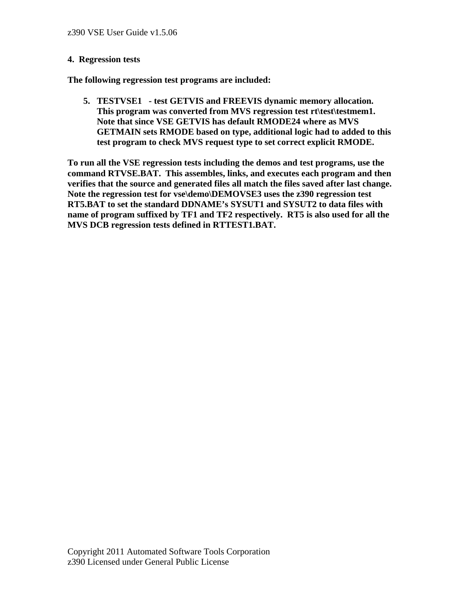#### **4. Regression tests**

**The following regression test programs are included:** 

**5. TESTVSE1 - test GETVIS and FREEVIS dynamic memory allocation.**  This program was converted from MVS regression test rt\test\testmem1. **Note that since VSE GETVIS has default RMODE24 where as MVS GETMAIN sets RMODE based on type, additional logic had to added to this test program to check MVS request type to set correct explicit RMODE.** 

**To run all the VSE regression tests including the demos and test programs, use the command RTVSE.BAT. This assembles, links, and executes each program and then verifies that the source and generated files all match the files saved after last change. Note the regression test for vse\demo\DEMOVSE3 uses the z390 regression test RT5.BAT to set the standard DDNAME's SYSUT1 and SYSUT2 to data files with name of program suffixed by TF1 and TF2 respectively. RT5 is also used for all the MVS DCB regression tests defined in RTTEST1.BAT.**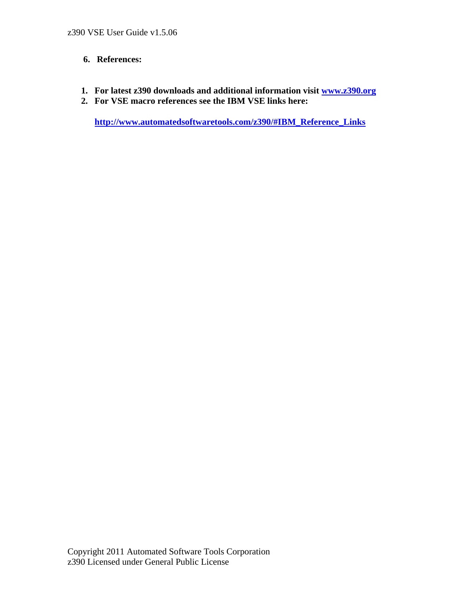## **6. References:**

- **1. For latest z390 downloads and additional information visit www.z390.org**
- **2. For VSE macro references see the IBM VSE links here:**

 **http://www.automatedsoftwaretools.com/z390/#IBM\_Reference\_Links**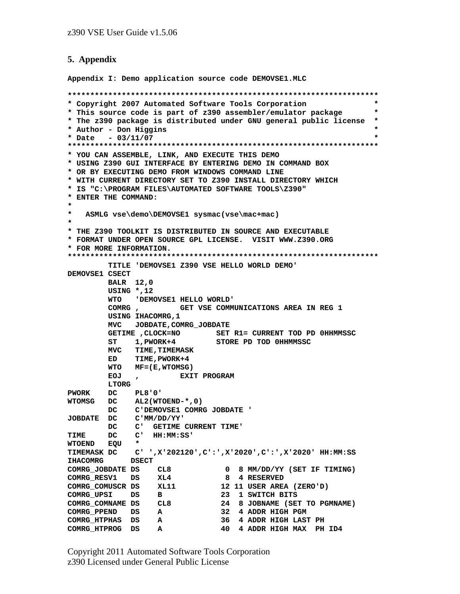#### **5. Appendix**

**Appendix I: Demo application source code DEMOVSE1.MLC** 

**\*\*\*\*\*\*\*\*\*\*\*\*\*\*\*\*\*\*\*\*\*\*\*\*\*\*\*\*\*\*\*\*\*\*\*\*\*\*\*\*\*\*\*\*\*\*\*\*\*\*\*\*\*\*\*\*\*\*\*\*\*\*\*\*\*\*\*\*\* \* Copyright 2007 Automated Software Tools Corporation \* \* This source code is part of z390 assembler/emulator package \* \* The z390 package is distributed under GNU general public license \* \* Author - Don Higgins \* \* Date - 03/11/07 \* \*\*\*\*\*\*\*\*\*\*\*\*\*\*\*\*\*\*\*\*\*\*\*\*\*\*\*\*\*\*\*\*\*\*\*\*\*\*\*\*\*\*\*\*\*\*\*\*\*\*\*\*\*\*\*\*\*\*\*\*\*\*\*\*\*\*\*\*\* \* YOU CAN ASSEMBLE, LINK, AND EXECUTE THIS DEMO \* USING Z390 GUI INTERFACE BY ENTERING DEMO IN COMMAND BOX \* OR BY EXECUTING DEMO FROM WINDOWS COMMAND LINE \* WITH CURRENT DIRECTORY SET TO Z390 INSTALL DIRECTORY WHICH \* IS "C:\PROGRAM FILES\AUTOMATED SOFTWARE TOOLS\Z390" \* ENTER THE COMMAND: \* \* ASMLG vse\demo\DEMOVSE1 sysmac(vse\mac+mac) \* \* THE Z390 TOOLKIT IS DISTRIBUTED IN SOURCE AND EXECUTABLE \* FORMAT UNDER OPEN SOURCE GPL LICENSE. VISIT WWW.Z390.ORG \* FOR MORE INFORMATION. \*\*\*\*\*\*\*\*\*\*\*\*\*\*\*\*\*\*\*\*\*\*\*\*\*\*\*\*\*\*\*\*\*\*\*\*\*\*\*\*\*\*\*\*\*\*\*\*\*\*\*\*\*\*\*\*\*\*\*\*\*\*\*\*\*\*\*\*\* TITLE 'DEMOVSE1 Z390 VSE HELLO WORLD DEMO' DEMOVSE1 CSECT BALR 12,0 USING \*,12 WTO 'DEMOVSE1 HELLO WORLD' COMRG , GET VSE COMMUNICATIONS AREA IN REG 1 USING IHACOMRG,1 MVC JOBDATE,COMRG\_JOBDATE GETIME ,CLOCK=NO SET R1= CURRENT TOD PD 0HHMMSSC ST 1,PWORK+4 STORE PD TOD 0HHMMSSC MVC TIME,TIMEMASK ED TIME,PWORK+4 WTO MF=(E,WTOMSG) EOJ , EXIT PROGRAM LTORG PWORK DC PL8'0' WTOMSG DC AL2(WTOEND-\*,0) DC C'DEMOVSE1 COMRG JOBDATE ' JOBDATE DC C'MM/DD/YY' DC C' GETIME CURRENT TIME' TIME DC C' HH:MM:SS' WTOEND EQU \* TIMEMASK DC C' ',X'202120',C':',X'2020',C':',X'2020' HH:MM:SS IHACOMRG DSECT COMRG\_JOBDATE DS CL8 0 8 MM/DD/YY (SET IF TIMING) COMRG\_RESV1 DS XL4 8 4 RESERVED COMRG\_COMUSCR DS XL11 12 11 USER AREA (ZERO'D) COMRG\_UPSI DS B 23 1 SWITCH BITS COMRG\_COMNAME DS CL8 24 8 JOBNAME (SET TO PGMNAME) COMRG\_PPEND DS A 32 4 ADDR HIGH PGM COMRG\_HTPHAS DS A 36 4 ADDR HIGH LAST PH COMRG\_HTPROG DS A 40 4 ADDR HIGH MAX PH ID4**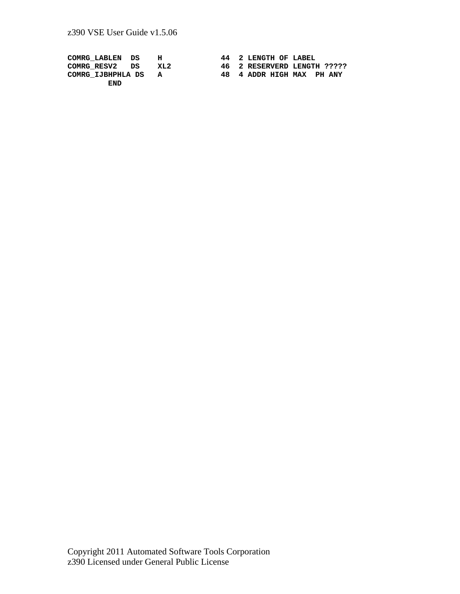| COMRG LABLEN DS     | н   | 44 2 LENGTH OF LABEL        |
|---------------------|-----|-----------------------------|
| COMRG RESV2 DS      | XL2 | 46 2 RESERVERD LENGTH ????? |
| COMRG IJBHPHLA DS A |     | 48 4 ADDR HIGH MAX PH ANY   |
| END                 |     |                             |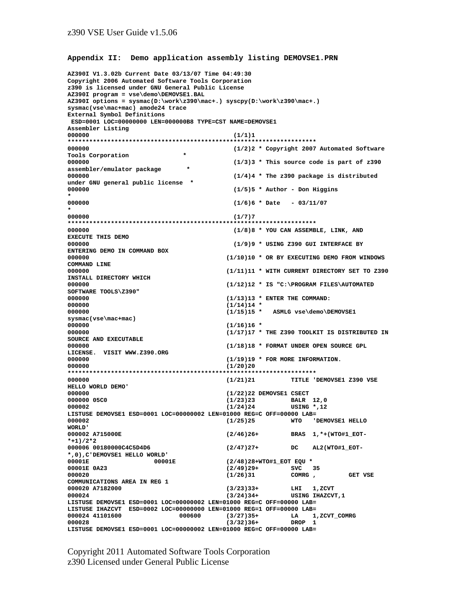#### **Appendix II: Demo application assembly listing DEMOVSE1.PRN**

```
AZ390I V1.3.02b Current Date 03/13/07 Time 04:49:30 
Copyright 2006 Automated Software Tools Corporation 
z390 is licensed under GNU General Public License 
AZ390I program = vse\demo\DEMOVSE1.BAL 
AZ390I options = sysmac(D:\work\z390\mac+.) syscpy(D:\work\z390\mac+.) 
sysmac(vse\mac+mac) amode24 trace 
External Symbol Definitions 
 ESD=0001 LOC=00000000 LEN=000000B8 TYPE=CST NAME=DEMOVSE1 
Assembler Listing 
000000 (1/1)1 
********************************************************************* 
000000 (1/2)2 * Copyright 2007 Automated Software 
Tools Corporation
000000 (1/3)3 * This source code is part of z390 
assembler/emulator package<br>000000
                                     000000 (1/4)4 * The z390 package is distributed 
under GNU general public license * 
                                     000000 (1/5)5 * Author - Don Higgins 
* 
000000 (1/6)6 * Date - 03/11/07 
* 
000000 (1/7)7 
********************************************************************* 
000000 (1/8)8 * YOU CAN ASSEMBLE, LINK, AND 
EXECUTE THIS DEMO 
000000 (1/9)9 * USING Z390 GUI INTERFACE BY 
ENTERING DEMO IN COMMAND BOX 
                                    000000 (1/10)10 * OR BY EXECUTING DEMO FROM WINDOWS 
COMMAND LINE 
                                   000000 (1/11)11 * WITH CURRENT DIRECTORY SET TO Z390 
INSTALL DIRECTORY WHICH 
000000 (1/12)12 * IS "C:\PROGRAM FILES\AUTOMATED 
SOFTWARE TOOLS\Z390" 
000000 (1/13)13 * ENTER THE COMMAND:<br>000000 (1/14)14 *
                                    (1/14)14 *
000000 (1/15)15 * ASMLG vse\demo\DEMOVSE1 
sysmac(vse\mac+mac) 
000000 (1/16)16 * 
000000 (1/17)17 * THE Z390 TOOLKIT IS DISTRIBUTED IN 
SOURCE AND EXECUTABLE 
                                    000000 (1/18)18 * FORMAT UNDER OPEN SOURCE GPL 
LICENSE. VISIT WWW.Z390.ORG 
000000 (1/19)19 * FOR MORE INFORMATION.<br>000000 (1/20)20
                                   000000 (1/20)20 
********************************************************************* 
000000 (1/21)21 TITLE 'DEMOVSE1 Z390 VSE 
HELLO WORLD DEMO' 
000000 (1/22)22 DEMOVSE1 CSECT 
                                    000000 05C0 (1/23)23 BALR 12,0 
000002 (1/24)24 USING *,12 
LISTUSE DEMOVSE1 ESD=0001 LOC=00000002 LEN=01000 REG=C OFF=00000 LAB= 
                                                 000002 (1/25)25 WTO 'DEMOVSE1 HELLO 
WORLD'<br>000002 A715000E
                                   000002 A715000E (2/46)26+ BRAS 1,*+(WTO#1_EOT-
*+1)/2*2 
000006 00180000C4C5D4D6 (2/47)27+ DC AL2(WTO#1_EOT-
*,0),C'DEMOVSE1 HELLO WORLD' 
                                   00001E 00001E (2/48)28+WTO#1_EOT EQU * 
00001E 0A23 (2/49)29+ SVC 35<br>000020 (1/26)31 COMRG,
000020 (1/26)31 COMRG , GET VSE 
COMMUNICATIONS AREA IN REG 1 
000020 A7182000 (3/23)33+ LHI 1,ZCVT 
                                   000024 (3/24)34+ USING IHAZCVT,1 
LISTUSE DEMOVSE1 ESD=0001 LOC=00000002 LEN=01000 REG=C OFF=00000 LAB= 
LISTUSE IHAZCVT ESD=0002 LOC=00000000 LEN=01000 REG=1 OFF=00000 LAB= 
000024 41101600 000600 (3/27)35+ LA 1,ZCVT_COMRG 
                                    (3/32)36+LISTUSE DEMOVSE1 ESD=0001 LOC=00000002 LEN=01000 REG=C OFF=00000 LAB=
```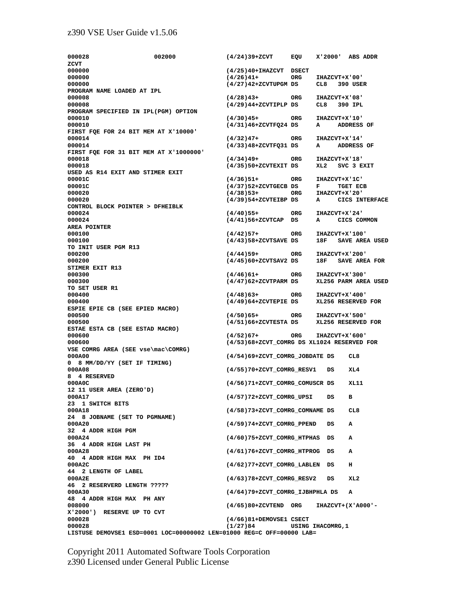#### z390 VSE User Guide v1.5.06

**000028 002000 (4/24)39+ZCVT EQU X'2000' ABS ADDR ZCVT 000000 (4/25)40+IHAZCVT DSECT 000000 (4/27)42+ZCVTUPGM DS CL8 390 USER PROGRAM NAME LOADED AT IPL 000008 (4/28)43+ ORG IHAZCVT+X'08' 000008 (4/29)44+ZCVTIPLP DS CL8 390 IPL PROGRAM SPECIFIED IN IPL(PGM) OPTION 000010 (4/30)45+ ORG IHAZCVT+X'10' 000010 (4/31)46+ZCVTFQ24 DS A ADDRESS OF FIRST FQE FOR 24 BIT MEM AT X'10000' 000014 (4/32)47+ ORG IHAZCVT+X'14' 000014 (4/33)48+ZCVTFQ31 DS A ADDRESS OF FIRST FQE FOR 31 BIT MEM AT X'1000000' 000018 (4/34)49+ ORG IHAZCVT+X'18' 000018 (4/35)50+ZCVTEXIT DS XL2 SVC 3 EXIT USED AS R14 EXIT AND STIMER EXIT**  00001C<br>00001C (4/36)51+ ORG IHAZCVT+X'1C'<br>00001C (4/37)52+ZCVTGECB DS F TGET ECB **00001C (4/37)52+ZCVTGECB DS F TGET ECB 000020 (4/38)53+ ORG IHAZCVT+X'20' 000020 (4/39)54+ZCVTEIBP DS A CICS INTERFACE CONTROL BLOCK POINTER > DFHEIBLK 000024 (4/40)55+ ORG IHAZCVT+X'24' 000024 (4/41)56+ZCVTCAP DS A CICS COMMON AREA POINTER 000100 (4/42)57+ ORG IHAZCVT+X'100' 000100 (4/43)58+ZCVTSAVE DS 18F SAVE AREA USED TO INIT USER PGM R13 000200 (4/44)59+ ORG IHAZCVT+X'200' 000200 (4/45)60+ZCVTSAV2 DS 18F SAVE AREA FOR STIMER EXIT R13 000300 (4/46)61+ ORG IHAZCVT+X'300' 000300 (4/47)62+ZCVTPARM DS XL256 PARM AREA USED TO SET USER R1 000400 (4/48)63+ ORG IHAZCVT+X'400' 000400 (4/49)64+ZCVTEPIE DS XL256 RESERVED FOR ESPIE EPIE CB (SEE EPIED MACRO) 000500 (4/50)65+ ORG IHAZCVT+X'500' 000500 (4/51)66+ZCVTESTA DS XL256 RESERVED FOR ESTAE ESTA CB (SEE ESTAD MACRO) 000600 (4/52)67+ ORG IHAZCVT+X'600' 000600 (4/53)68+ZCVT\_COMRG DS XL1024 RESERVED FOR VSE COMRG AREA (SEE vse\mac\COMRG) 000A00 (4/54)69+ZCVT\_COMRG\_JOBDATE DS CL8 0 8 MM/DD/YY (SET IF TIMING) 000A08 (4/55)70+ZCVT\_COMRG\_RESV1 DS XL4 8 4 RESERVED 000A0C (4/56)71+ZCVT\_COMRG\_COMUSCR DS XL11 12 11 USER AREA (ZERO'D) 000A17 (4/57)72+ZCVT\_COMRG\_UPSI DS B 23 1 SWITCH BITS 000A18 (4/58)73+ZCVT\_COMRG\_COMNAME DS CL8 24 8 JOBNAME (SET TO PGMNAME) 000A20 (4/59)74+ZCVT\_COMRG\_PPEND DS A 32 4 ADDR HIGH PGM 000A24 (4/60)75+ZCVT\_COMRG\_HTPHAS DS A 36 4 ADDR HIGH LAST PH 000A28 (4/61)76+ZCVT\_COMRG\_HTPROG DS A 40 4 ADDR HIGH MAX PH ID4 000A2C (4/62)77+ZCVT\_COMRG\_LABLEN DS H 44 2 LENGTH OF LABEL 000A2E (4/63)78+ZCVT\_COMRG\_RESV2 DS XL2 46 2 RESERVERD LENGTH ????? 000A30 (4/64)79+ZCVT\_COMRG\_IJBHPHLA DS A 48 4 ADDR HIGH MAX PH ANY 008000 (4/65)80+ZCVTEND ORG IHAZCVT+(X'A000'- X'2000') RESERVE UP TO CVT 000028 (4/66)81+DEMOVSE1 CSECT 000028 (1/27)84 USING IHACOMRG,1 LISTUSE DEMOVSE1 ESD=0001 LOC=00000002 LEN=01000 REG=C OFF=00000 LAB=** 

ORG IHAZCVT+X'00'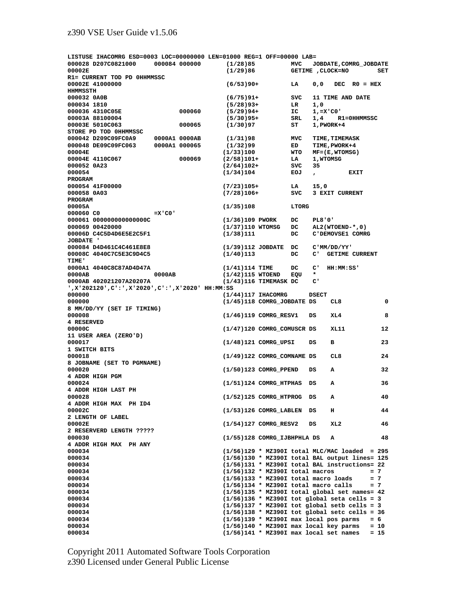| LISTUSE IHACOMRG ESD=0003 LOC=00000000 LEN=01000 REG=1 OFF=00000 LAB= |               |               |                                                                             |                                      |               |                                                                                                     |                |
|-----------------------------------------------------------------------|---------------|---------------|-----------------------------------------------------------------------------|--------------------------------------|---------------|-----------------------------------------------------------------------------------------------------|----------------|
| 000028 D207C0821000                                                   |               | 000084 000000 | (1/28)85                                                                    | <b>MVC</b><br>JOBDATE, COMRG_JOBDATE |               |                                                                                                     |                |
| 00002E                                                                |               |               | (1/29)86                                                                    | GETIME , CLOCK=NO<br>SET             |               |                                                                                                     |                |
| R1= CURRENT TOD PD OHHMMSSC                                           |               |               |                                                                             |                                      |               |                                                                                                     |                |
| 00002E 41000000<br>HHMMSSTH                                           |               |               | $(6/53)90+$                                                                 | LA                                   | 0, 0          | $RO = HEX$<br>DEC                                                                                   |                |
| 000032 0A0B                                                           |               |               | $(6/75)91+$                                                                 | svc                                  |               | 11 TIME AND DATE                                                                                    |                |
| 000034 1810                                                           |               |               | $(5/28)93+$                                                                 | LR                                   | 1,0           |                                                                                                     |                |
| 000036 4310C05E                                                       |               | 000060        | $(5/29)94+$                                                                 | IC                                   | $1, = X'$ CO' |                                                                                                     |                |
| 00003A 88100004                                                       |               |               | $(5/30)95+$                                                                 | SRL.                                 | 1,4           | <b>R1=0HHMMSSC</b>                                                                                  |                |
| 00003E 5010C063                                                       |               | 000065        | (1/30)97                                                                    | SТ                                   |               | 1, PWORK+4                                                                                          |                |
| STORE PD TOD OHHMMSSC                                                 |               |               |                                                                             |                                      |               |                                                                                                     |                |
| 000042 D209C09FC0A9                                                   |               | 0000A1 0000AB | (1/31)98                                                                    | MVC                                  |               | <b>TIME, TIMEMASK</b>                                                                               |                |
| 000048 DE09C09FC063                                                   |               | 0000A1 000065 | (1/32)99                                                                    | ED                                   |               | TIME, PWORK+4                                                                                       |                |
| 00004E                                                                |               |               | (1/33)100                                                                   | WTO                                  |               | $MF = (E, WTOMSG)$                                                                                  |                |
| 00004E 4110C067                                                       |               | 000069        | $(2/58)101+$                                                                | LA                                   | 1, WTOMSG     |                                                                                                     |                |
| 000052 0A23                                                           |               |               | $(2/64)102+$                                                                | svc                                  | 35            |                                                                                                     |                |
| 000054                                                                |               |               | (1/34)104                                                                   | EOJ                                  | $\mathbf{r}$  | <b>EXIT</b>                                                                                         |                |
| <b>PROGRAM</b>                                                        |               |               |                                                                             |                                      |               |                                                                                                     |                |
| 000054 41F00000                                                       |               |               | $(7/23)105+$                                                                | LA                                   | 15,0          |                                                                                                     |                |
| 000058 0A03                                                           |               |               | $(7/28)106+$                                                                | <b>SVC</b>                           |               | 3 EXIT CURRENT                                                                                      |                |
| <b>PROGRAM</b>                                                        |               |               |                                                                             |                                      |               |                                                                                                     |                |
| 00005A                                                                |               |               | (1/35)108                                                                   | LTORG                                |               |                                                                                                     |                |
| 000060 CO                                                             | $=X$ 'C $0$ ' |               |                                                                             |                                      |               |                                                                                                     |                |
| 000061 0000000000000000                                               |               |               | $(1/36)109$ PWORK                                                           | DC                                   | <b>PL8'0'</b> |                                                                                                     |                |
| 000069 00420000                                                       |               |               | $(1/37)110$ WTOMSG                                                          | DC.                                  |               | $AL2(WTOEND-*$ , 0)                                                                                 |                |
| 00006D C4C5D4D6E5E2C5F1                                               |               |               | (1/38)111                                                                   | DC                                   |               | C'DEMOVSE1 COMRG                                                                                    |                |
| <b>JOBDATE</b> '                                                      |               |               |                                                                             |                                      |               |                                                                                                     |                |
| 000084 D4D461C4C461E8E8                                               |               |               | $(1/39)$ 112 JOBDATE                                                        | DC                                   |               | C'MM/DD/YY'                                                                                         |                |
| 00008C 4040C7C5E3C9D4C5                                               |               |               | (1/40)113                                                                   | DC                                   | C'            | <b>GETIME CURRENT</b>                                                                               |                |
| <b>TIME'</b>                                                          |               |               |                                                                             |                                      |               |                                                                                                     |                |
| 0000A1 4040C8C87AD4D47A                                               |               |               | $(1/41)114$ TIME                                                            | DC                                   | c'            | HH:MM:SS'                                                                                           |                |
| 0000AB                                                                | 0000AB        |               | $(1/42)115$ WTOEND                                                          | EQU                                  | $\star$       |                                                                                                     |                |
| 0000AB 402021207A20207A                                               |               |               | $(1/43)116$ TIMEMASK DC                                                     |                                      | c'            |                                                                                                     |                |
| X'202120'HH:MM:SS,':'C':',X'2020'X,':'2020'HH:MM:SS                   |               |               |                                                                             |                                      |               |                                                                                                     |                |
| 000000                                                                |               |               | $(1/44)117$ IHACOMRG                                                        |                                      | <b>DSECT</b>  |                                                                                                     |                |
| 000000                                                                |               |               | (1/45)118 COMRG_JOBDATE DS                                                  |                                      |               | CL8                                                                                                 | 0              |
| 8 MM/DD/YY (SET IF TIMING)                                            |               |               |                                                                             |                                      |               |                                                                                                     |                |
| 000008                                                                |               |               | $(1/46)$ 119 COMRG RESV1                                                    |                                      | DS            | XL4                                                                                                 | 8              |
| 4 RESERVED                                                            |               |               |                                                                             |                                      |               |                                                                                                     |                |
| 00000C                                                                |               |               | (1/47)120 COMRG_COMUSCR DS                                                  |                                      |               | XL11                                                                                                | 12             |
| 11 USER AREA (ZERO'D)                                                 |               |               |                                                                             |                                      |               |                                                                                                     |                |
| 000017                                                                |               |               | $(1/48)121$ COMRG_UPSI                                                      |                                      | DS            | в                                                                                                   | 23             |
| 1 SWITCH BITS                                                         |               |               |                                                                             |                                      |               |                                                                                                     |                |
| 000018                                                                |               |               | (1/49)122 COMRG COMNAME DS                                                  |                                      |               | CL8                                                                                                 | 24             |
| 8 JOBNAME (SET TO PGMNAME)                                            |               |               |                                                                             |                                      |               |                                                                                                     |                |
| 000020                                                                |               |               | $(1/50)123$ COMRG PPEND                                                     |                                      | DS            | А                                                                                                   | 32             |
| 4 ADDR HIGH PGM                                                       |               |               |                                                                             |                                      |               |                                                                                                     |                |
| 000024                                                                |               |               | $(1/51)124$ COMRG HTPHAS                                                    |                                      | DS            | А                                                                                                   | 36             |
| 4 ADDR HIGH LAST PH                                                   |               |               |                                                                             |                                      |               |                                                                                                     |                |
| 000028                                                                |               |               | (1/52)125 COMRG_HTPROG DS                                                   |                                      |               | А                                                                                                   | 40             |
| 4 ADDR HIGH MAX PH ID4                                                |               |               |                                                                             |                                      |               |                                                                                                     |                |
| 00002C                                                                |               |               | $(1/53)126$ COMRG_LABLEN                                                    |                                      | DS            | н                                                                                                   | 44             |
| 2 LENGTH OF LABEL                                                     |               |               |                                                                             |                                      |               |                                                                                                     |                |
| 00002E                                                                |               |               | (1/54)127 COMRG_RESV2                                                       |                                      | DS            | XL2                                                                                                 | 46             |
| 2 RESERVERD LENGTH ?????                                              |               |               |                                                                             |                                      |               |                                                                                                     |                |
| 000030                                                                |               |               | (1/55)128 COMRG_IJBHPHLA DS                                                 |                                      |               | А                                                                                                   | 48             |
| 4 ADDR HIGH MAX PH ANY                                                |               |               |                                                                             |                                      |               |                                                                                                     |                |
| 000034                                                                |               |               |                                                                             |                                      |               | $(1/56)129$ * MZ390I total MLC/MAC loaded = 295                                                     |                |
| 000034                                                                |               |               |                                                                             |                                      |               | $(1/56)130$ * MZ390I total BAL output lines= 125<br>$(1/56)131$ * MZ390I total BAL instructions= 22 |                |
| 000034                                                                |               |               |                                                                             |                                      |               |                                                                                                     |                |
| 000034                                                                |               |               | $(1/56)132$ * MZ390I total macros<br>$(1/56)133$ * MZ390I total macro loads |                                      |               |                                                                                                     | $= 7$<br>$= 7$ |
| 000034                                                                |               |               | $(1/56)134$ * MZ390I total macro calls                                      |                                      |               |                                                                                                     | $= 7$          |
| 000034<br>000034                                                      |               |               |                                                                             |                                      |               | $(1/56)135$ * MZ390I total global set names= 42                                                     |                |
| 000034                                                                |               |               |                                                                             |                                      |               | $(1/56)136$ * MZ390I tot global seta cells = 3                                                      |                |
| 000034                                                                |               |               |                                                                             |                                      |               | $(1/56)137$ * MZ390I tot global setb cells = 3                                                      |                |
| 000034                                                                |               |               |                                                                             |                                      |               | $(1/56)138$ * MZ390I tot global setc cells = 36                                                     |                |
| 000034                                                                |               |               | $(1/56)139$ * MZ390I max local pos parms                                    |                                      |               |                                                                                                     | $= 6$          |
| 000034                                                                |               |               | $(1/56)140$ * MZ390I max local key parms                                    |                                      |               |                                                                                                     | $= 10$         |
| 000034                                                                |               |               | $(1/56)141$ * MZ390I max local set names                                    |                                      |               |                                                                                                     | $= 15$         |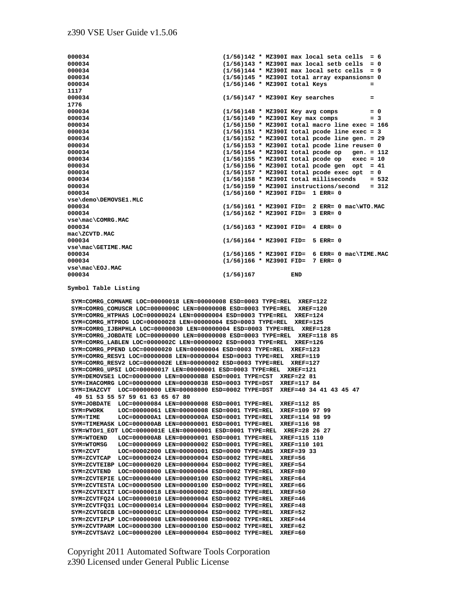**000034 (1/56)142 \* MZ390I max local seta cells = 6**   $(1/56)143$  \* MZ390I max local setb cells = 0 **000034 (1/56)144 \* MZ390I max local setc cells = 9 000034 (1/56)145 \* MZ390I total array expansions= 0 000034 (1/56)146 \* MZ390I total Keys = 1117 000034 (1/56)147 \* MZ390I Key searches = 1776 000034 (1/56)148 \* MZ390I Key avg comps = 0 000034 (1/56)149 \* MZ390I Key max comps = 3 000034 (1/56)150 \* MZ390I total macro line exec = 166 000034 (1/56)151 \* MZ390I total pcode line exec = 3 000034 (1/56)152 \* MZ390I total pcode line gen. = 29 000034 (1/56)153 \* MZ390I total pcode line reuse= 0 000034 (1/56)154 \* MZ390I total pcode op gen. = 112 000034 (1/56)155 \* MZ390I total pcode op exec = 10 000034 (1/56)156 \* MZ390I total pcode gen opt = 41 000034** (1/56)157 \* MZ390I total pcode exec opt = 0<br>000034 (1/56)158 \* MZ390I total milliseconds = 5 **000034 (1/56)158 \* MZ390I total milliseconds = 532 000034 (1/56)159 \* MZ390I instructions/second = 312 000034 (1/56)160 \* MZ390I FID= 1 ERR= 0 vse\demo\DEMOVSE1.MLC 000034 (1/56)161 \* MZ390I FID= 2 ERR= 0 mac\WTO.MAC 000034 (1/56)162 \* MZ390I FID= 3 ERR= 0 vse\mac\COMRG.MAC 000034 (1/56)163 \* MZ390I FID= 4 ERR= 0 mac\ZCVTD.MAC 000034 (1/56)164 \* MZ390I FID= 5 ERR= 0 vse\mac\GETIME.MAC 000034** (1/56)165 \* MZ390I FID= 6 ERR= 0 mac\TIME.MAC<br>000034 (1/56)166 \* MZ390I FID= 7 ERR= 0 **000034 (1/56)166 \* MZ390I FID= 7 ERR= 0 vse\mac\EOJ.MAC 000034 (1/56)167 END** 

**Symbol Table Listing** 

 **SYM=COMRG\_COMNAME LOC=00000018 LEN=00000008 ESD=0003 TYPE=REL XREF=122 SYM=COMRG\_COMUSCR LOC=0000000C LEN=0000000B ESD=0003 TYPE=REL XREF=120 SYM=COMRG\_HTPHAS LOC=00000024 LEN=00000004 ESD=0003 TYPE=REL XREF=124 SYM=COMRG\_HTPROG LOC=00000028 LEN=00000004 ESD=0003 TYPE=REL XREF=125 SYM=COMRG\_IJBHPHLA LOC=00000030 LEN=00000004 ESD=0003 TYPE=REL XREF=128 SYM=COMRG\_JOBDATE LOC=00000000 LEN=00000008 ESD=0003 TYPE=REL XREF=118 85 SYM=COMRG\_LABLEN LOC=0000002C LEN=00000002 ESD=0003 TYPE=REL XREF=126 SYM=COMRG\_PPEND LOC=00000020 LEN=00000004 ESD=0003 TYPE=REL XREF=123 SYM=COMRG\_RESV1 LOC=00000008 LEN=00000004 ESD=0003 TYPE=REL XREF=119 SYM=COMRG\_RESV2 LOC=0000002E LEN=00000002 ESD=0003 TYPE=REL XREF=127 SYM=COMRG\_UPSI LOC=00000017 LEN=00000001 ESD=0003 TYPE=REL XREF=121 SYM=DEMOVSE1 LOC=00000000 LEN=000000B8 ESD=0001 TYPE=CST XREF=22 81 SYM=IHACOMRG LOC=00000000 LEN=00000038 ESD=0003 TYPE=DST XREF=117 84 SYM=IHAZCVT LOC=00000000 LEN=00008000 ESD=0002 TYPE=DST XREF=40 34 41 43 45 47 49 51 53 55 57 59 61 63 65 67 80 SYM=JOBDATE LOC=00000084 LEN=00000008 ESD=0001 TYPE=REL XREF=112 85 SYM=PWORK LOC=00000061 LEN=00000008 ESD=0001 TYPE=REL XREF=109 97 99**<br>SYM=TIME LOC=000000A1 LEN=0000000A ESD=0001 TYPE=REL XREF=114 98 99 LOC=000000A1 LEN=0000000A ESD=0001 TYPE=REL XREF=114 98 99  **SYM=TIMEMASK LOC=000000AB LEN=00000001 ESD=0001 TYPE=REL XREF=116 98 SYM=WTO#1\_EOT LOC=0000001E LEN=00000001 ESD=0001 TYPE=REL XREF=28 26 27 SYM=WTOEND LOC=000000AB LEN=00000001 ESD=0001 TYPE=REL XREF=115 110 SYM=WTOMSG LOC=00000069 LEN=00000002 ESD=0001 TYPE=REL XREF=110 101 SYM=ZCVT LOC=00002000 LEN=00000001 ESD=0000 TYPE=ABS XREF=39 33 SYM=ZCVTCAP LOC=00000024 LEN=00000004 ESD=0002 TYPE=REL XREF=56 SYM=ZCVTEIBP LOC=00000020 LEN=00000004 ESD=0002 TYPE=REL XREF=54 SYM=ZCVTEND LOC=00008000 LEN=00000004 ESD=0002 TYPE=REL XREF=80 SYM=ZCVTEPIE LOC=00000400 LEN=00000100 ESD=0002 TYPE=REL XREF=64 SYM=ZCVTESTA LOC=00000500 LEN=00000100 ESD=0002 TYPE=REL XREF=66 SYM=ZCVTEXIT LOC=00000018 LEN=00000002 ESD=0002 TYPE=REL XREF=50**  SYM=ZCVTFQ24 LOC=00000010 LEN=00000004 ESD=0002 TYPE=REL  **SYM=ZCVTFQ31 LOC=00000014 LEN=00000004 ESD=0002 TYPE=REL XREF=48 SYM=ZCVTGECB LOC=0000001C LEN=00000004 ESD=0002 TYPE=REL XREF=52 SYM=ZCVTIPLP LOC=00000008 LEN=00000008 ESD=0002 TYPE=REL XREF=44 SYM=ZCVTPARM LOC=00000300 LEN=00000100 ESD=0002 TYPE=REL XREF=62 SYM=ZCVTSAV2 LOC=00000200 LEN=00000004 ESD=0002 TYPE=REL XREF=60**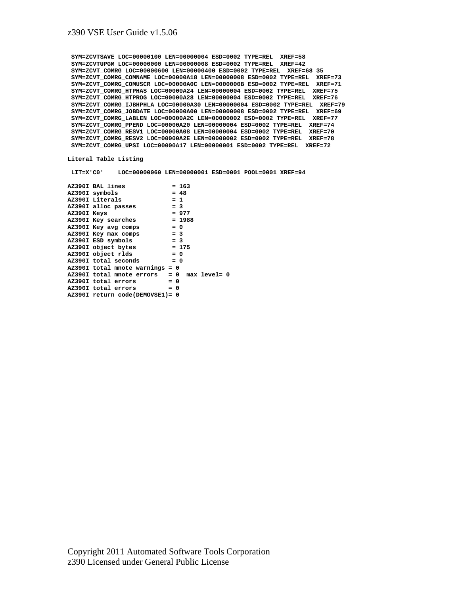**SYM=ZCVTSAVE LOC=00000100 LEN=00000004 ESD=0002 TYPE=REL XREF=58 SYM=ZCVTUPGM LOC=00000000 LEN=00000008 ESD=0002 TYPE=REL XREF=42 SYM=ZCVT\_COMRG LOC=00000600 LEN=00000400 ESD=0002 TYPE=REL XREF=68 35 SYM=ZCVT\_COMRG\_COMNAME LOC=00000A18 LEN=00000008 ESD=0002 TYPE=REL XREF=73 SYM=ZCVT\_COMRG\_COMUSCR LOC=00000A0C LEN=0000000B ESD=0002 TYPE=REL XREF=71 SYM=ZCVT\_COMRG\_HTPHAS LOC=00000A24 LEN=00000004 ESD=0002 TYPE=REL XREF=75 SYM=ZCVT\_COMRG\_HTPROG LOC=00000A28 LEN=00000004 ESD=0002 TYPE=REL XREF=76 SYM=ZCVT\_COMRG\_IJBHPHLA LOC=00000A30 LEN=00000004 ESD=0002 TYPE=REL XREF=79 SYM=ZCVT\_COMRG\_JOBDATE LOC=00000A00 LEN=00000008 ESD=0002 TYPE=REL XREF=69 SYM=ZCVT\_COMRG\_LABLEN LOC=00000A2C LEN=00000002 ESD=0002 TYPE=REL XREF=77 SYM=ZCVT\_COMRG\_PPEND LOC=00000A20 LEN=00000004 ESD=0002 TYPE=REL XREF=74 SYM=ZCVT\_COMRG\_RESV1 LOC=00000A08 LEN=00000004 ESD=0002 TYPE=REL XREF=70 SYM=ZCVT\_COMRG\_RESV2 LOC=00000A2E LEN=00000002 ESD=0002 TYPE=REL XREF=78 SYM=ZCVT\_COMRG\_UPSI LOC=00000A17 LEN=00000001 ESD=0002 TYPE=REL XREF=72** 

#### **Literal Table Listing**

 **LIT=X'C0' LOC=00000060 LEN=00000001 ESD=0001 POOL=0001 XREF=94** 

| AZ390I total mnote errors   = 0  max level= 0 |
|-----------------------------------------------|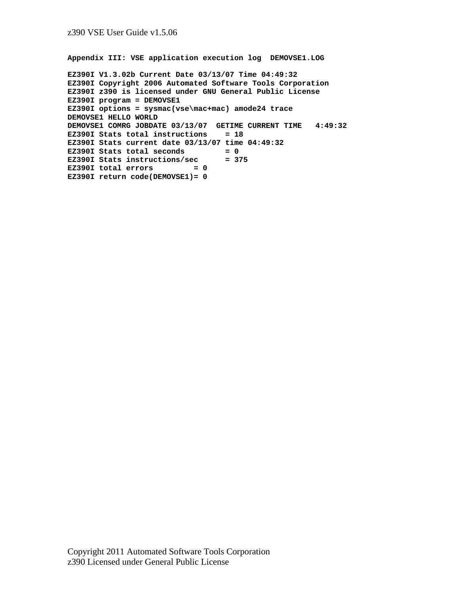**Appendix III: VSE application execution log DEMOVSE1.LOG** 

```
EZ390I V1.3.02b Current Date 03/13/07 Time 04:49:32 
EZ390I Copyright 2006 Automated Software Tools Corporation 
EZ390I z390 is licensed under GNU General Public License 
EZ390I program = DEMOVSE1 
EZ390I options = sysmac(vse\mac+mac) amode24 trace 
DEMOVSE1 HELLO WORLD 
DEMOVSE1 COMRG JOBDATE 03/13/07 GETIME CURRENT TIME 4:49:32 
EZ390I Stats total instructions = 18 
EZ390I Stats current date 03/13/07 time 04:49:32 
EZ390I Stats total seconds = 0 
EZ390I Stats instructions/sec = 375 
EZ390I total errors = 0
EZ390I return code(DEMOVSE1)= 0
```